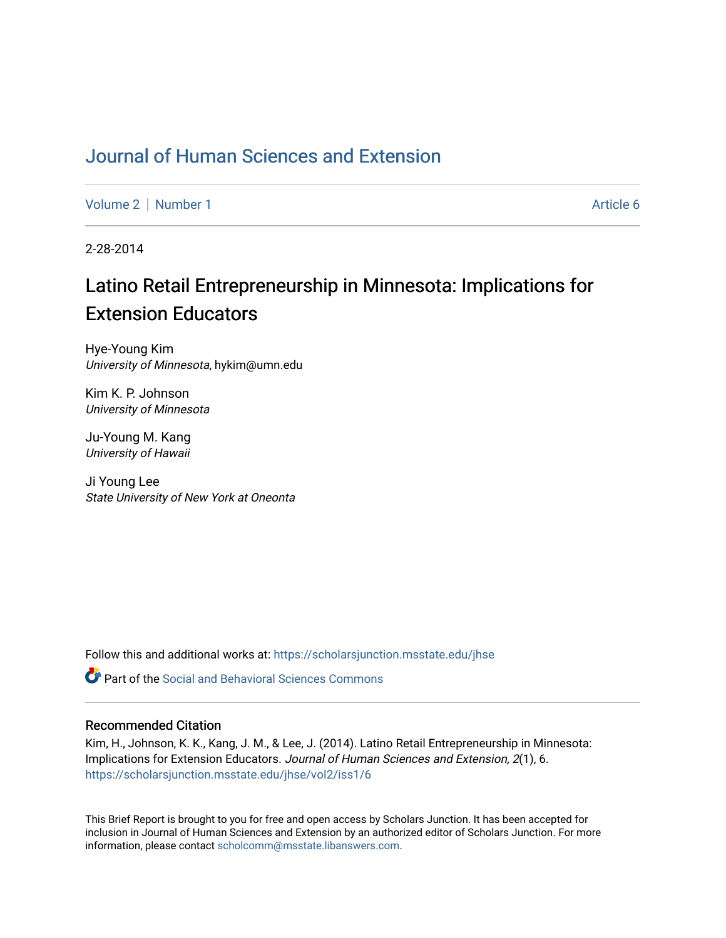## [Journal of Human Sciences and Extension](https://scholarsjunction.msstate.edu/jhse)

[Volume 2](https://scholarsjunction.msstate.edu/jhse/vol2) | [Number 1](https://scholarsjunction.msstate.edu/jhse/vol2/iss1) Article 6

2-28-2014

# Latino Retail Entrepreneurship in Minnesota: Implications for Extension Educators

Hye-Young Kim University of Minnesota, hykim@umn.edu

Kim K. P. Johnson University of Minnesota

Ju-Young M. Kang University of Hawaii

Ji Young Lee State University of New York at Oneonta

Follow this and additional works at: [https://scholarsjunction.msstate.edu/jhse](https://scholarsjunction.msstate.edu/jhse?utm_source=scholarsjunction.msstate.edu%2Fjhse%2Fvol2%2Fiss1%2F6&utm_medium=PDF&utm_campaign=PDFCoverPages)

 $\bullet$  Part of the Social and Behavioral Sciences Commons

#### Recommended Citation

Kim, H., Johnson, K. K., Kang, J. M., & Lee, J. (2014). Latino Retail Entrepreneurship in Minnesota: Implications for Extension Educators. Journal of Human Sciences and Extension, 2(1), 6. [https://scholarsjunction.msstate.edu/jhse/vol2/iss1/6](https://scholarsjunction.msstate.edu/jhse/vol2/iss1/6?utm_source=scholarsjunction.msstate.edu%2Fjhse%2Fvol2%2Fiss1%2F6&utm_medium=PDF&utm_campaign=PDFCoverPages)

This Brief Report is brought to you for free and open access by Scholars Junction. It has been accepted for inclusion in Journal of Human Sciences and Extension by an authorized editor of Scholars Junction. For more information, please contact [scholcomm@msstate.libanswers.com](mailto:scholcomm@msstate.libanswers.com).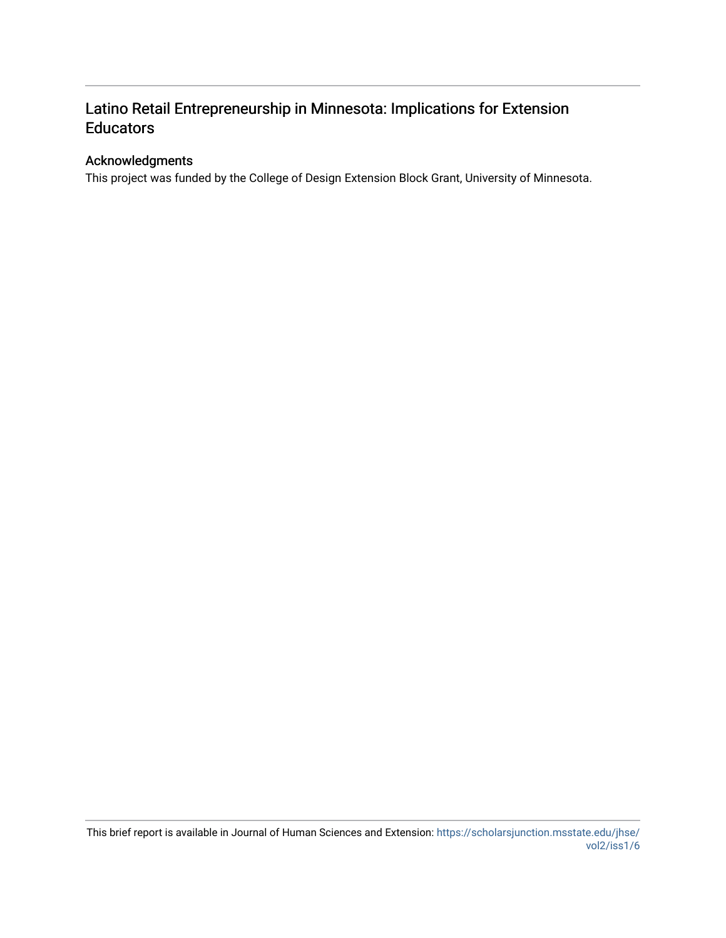## Latino Retail Entrepreneurship in Minnesota: Implications for Extension **Educators**

## Acknowledgments

This project was funded by the College of Design Extension Block Grant, University of Minnesota.

This brief report is available in Journal of Human Sciences and Extension: [https://scholarsjunction.msstate.edu/jhse/](https://scholarsjunction.msstate.edu/jhse/vol2/iss1/6) [vol2/iss1/6](https://scholarsjunction.msstate.edu/jhse/vol2/iss1/6)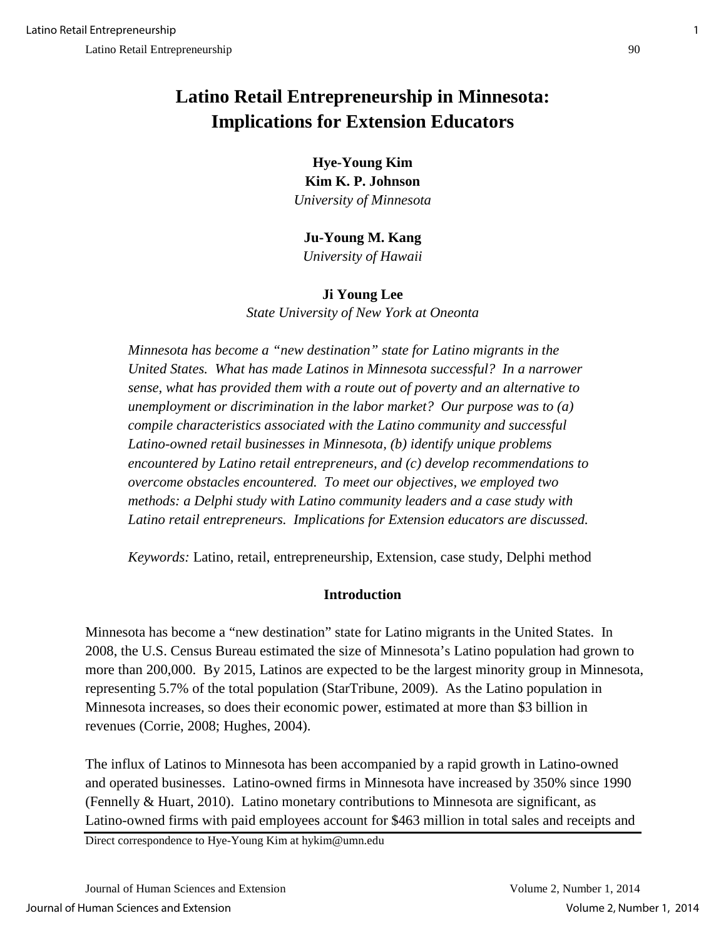# **Latino Retail Entrepreneurship in Minnesota: Implications for Extension Educators**

**Hye-Young Kim Kim K. P. Johnson** *University of Minnesota*

**Ju-Young M. Kang**

*University of Hawaii* 

**Ji Young Lee** *State University of New York at Oneonta* 

*Minnesota has become a "new destination" state for Latino migrants in the United States. What has made Latinos in Minnesota successful? In a narrower sense, what has provided them with a route out of poverty and an alternative to unemployment or discrimination in the labor market? Our purpose was to (a) compile characteristics associated with the Latino community and successful Latino-owned retail businesses in Minnesota, (b) identify unique problems encountered by Latino retail entrepreneurs, and (c) develop recommendations to overcome obstacles encountered. To meet our objectives, we employed two methods: a Delphi study with Latino community leaders and a case study with Latino retail entrepreneurs. Implications for Extension educators are discussed.* 

*Keywords:* Latino, retail, entrepreneurship, Extension, case study, Delphi method

## **Introduction**

Minnesota has become a "new destination" state for Latino migrants in the United States. In 2008, the U.S. Census Bureau estimated the size of Minnesota's Latino population had grown to more than 200,000. By 2015, Latinos are expected to be the largest minority group in Minnesota, representing 5.7% of the total population (StarTribune, 2009). As the Latino population in Minnesota increases, so does their economic power, estimated at more than \$3 billion in revenues (Corrie, 2008; Hughes, 2004).

The influx of Latinos to Minnesota has been accompanied by a rapid growth in Latino-owned and operated businesses. Latino-owned firms in Minnesota have increased by 350% since 1990 (Fennelly & Huart, 2010). Latino monetary contributions to Minnesota are significant, as Latino-owned firms with paid employees account for \$463 million in total sales and receipts and

Direct correspondence to Hye-Young Kim at hykim@umn.edu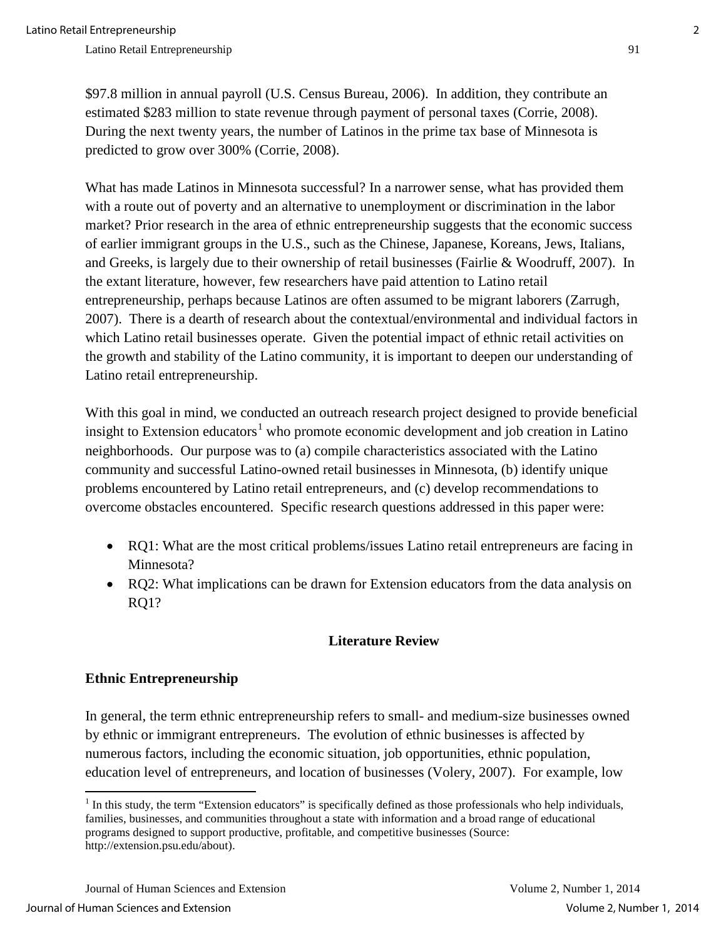\$97.8 million in annual payroll (U.S. Census Bureau, 2006). In addition, they contribute an estimated \$283 million to state revenue through payment of personal taxes (Corrie, 2008). During the next twenty years, the number of Latinos in the prime tax base of Minnesota is predicted to grow over 300% (Corrie, 2008).

What has made Latinos in Minnesota successful? In a narrower sense, what has provided them with a route out of poverty and an alternative to unemployment or discrimination in the labor market? Prior research in the area of ethnic entrepreneurship suggests that the economic success of earlier immigrant groups in the U.S., such as the Chinese, Japanese, Koreans, Jews, Italians, and Greeks, is largely due to their ownership of retail businesses (Fairlie & Woodruff, 2007). In the extant literature, however, few researchers have paid attention to Latino retail entrepreneurship, perhaps because Latinos are often assumed to be migrant laborers (Zarrugh, 2007). There is a dearth of research about the contextual/environmental and individual factors in which Latino retail businesses operate. Given the potential impact of ethnic retail activities on the growth and stability of the Latino community, it is important to deepen our understanding of Latino retail entrepreneurship.

With this goal in mind, we conducted an outreach research project designed to provide beneficial insight to Extension educators<sup>[1](#page-3-0)</sup> who promote economic development and job creation in Latino neighborhoods. Our purpose was to (a) compile characteristics associated with the Latino community and successful Latino-owned retail businesses in Minnesota, (b) identify unique problems encountered by Latino retail entrepreneurs, and (c) develop recommendations to overcome obstacles encountered. Specific research questions addressed in this paper were:

- RQ1: What are the most critical problems/issues Latino retail entrepreneurs are facing in Minnesota?
- RQ2: What implications can be drawn for Extension educators from the data analysis on RQ1?

## **Literature Review**

## **Ethnic Entrepreneurship**

l

In general, the term ethnic entrepreneurship refers to small- and medium-size businesses owned by ethnic or immigrant entrepreneurs. The evolution of ethnic businesses is affected by numerous factors, including the economic situation, job opportunities, ethnic population, education level of entrepreneurs, and location of businesses (Volery, 2007). For example, low

<span id="page-3-0"></span> $1$  In this study, the term "Extension educators" is specifically defined as those professionals who help individuals, families, businesses, and communities throughout a state with information and a broad range of educational programs designed to support productive, profitable, and competitive businesses (Source: http://extension.psu.edu/about).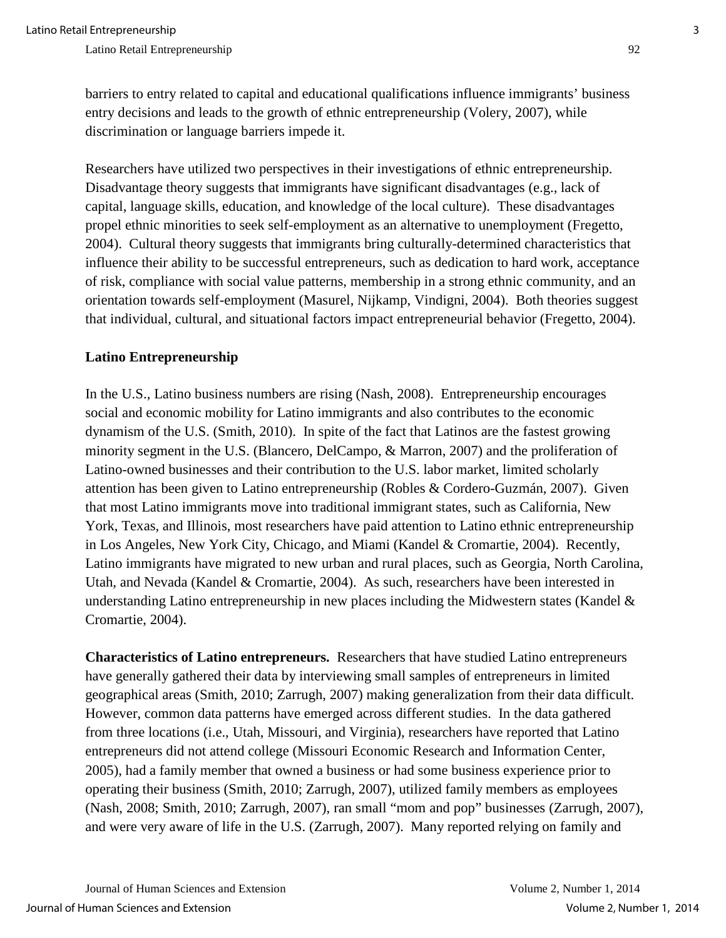barriers to entry related to capital and educational qualifications influence immigrants' business entry decisions and leads to the growth of ethnic entrepreneurship (Volery, 2007), while discrimination or language barriers impede it.

Researchers have utilized two perspectives in their investigations of ethnic entrepreneurship. Disadvantage theory suggests that immigrants have significant disadvantages (e.g., lack of capital, language skills, education, and knowledge of the local culture). These disadvantages propel ethnic minorities to seek self-employment as an alternative to unemployment (Fregetto, 2004). Cultural theory suggests that immigrants bring culturally-determined characteristics that influence their ability to be successful entrepreneurs, such as dedication to hard work, acceptance of risk, compliance with social value patterns, membership in a strong ethnic community, and an orientation towards self-employment (Masurel, Nijkamp, Vindigni, 2004). Both theories suggest that individual, cultural, and situational factors impact entrepreneurial behavior (Fregetto, 2004).

## **Latino Entrepreneurship**

In the U.S., Latino business numbers are rising (Nash, 2008). Entrepreneurship encourages social and economic mobility for Latino immigrants and also contributes to the economic dynamism of the U.S. (Smith, 2010). In spite of the fact that Latinos are the fastest growing minority segment in the U.S. (Blancero, DelCampo, & Marron, 2007) and the proliferation of Latino-owned businesses and their contribution to the U.S. labor market, limited scholarly attention has been given to Latino entrepreneurship (Robles & Cordero-Guzmán, 2007). Given that most Latino immigrants move into traditional immigrant states, such as California, New York, Texas, and Illinois, most researchers have paid attention to Latino ethnic entrepreneurship in Los Angeles, New York City, Chicago, and Miami (Kandel & Cromartie, 2004). Recently, Latino immigrants have migrated to new urban and rural places, such as Georgia, North Carolina, Utah, and Nevada (Kandel & Cromartie, 2004). As such, researchers have been interested in understanding Latino entrepreneurship in new places including the Midwestern states (Kandel & Cromartie, 2004).

**Characteristics of Latino entrepreneurs.** Researchers that have studied Latino entrepreneurs have generally gathered their data by interviewing small samples of entrepreneurs in limited geographical areas (Smith, 2010; Zarrugh, 2007) making generalization from their data difficult. However, common data patterns have emerged across different studies. In the data gathered from three locations (i.e., Utah, Missouri, and Virginia), researchers have reported that Latino entrepreneurs did not attend college (Missouri Economic Research and Information Center, 2005), had a family member that owned a business or had some business experience prior to operating their business (Smith, 2010; Zarrugh, 2007), utilized family members as employees (Nash, 2008; Smith, 2010; Zarrugh, 2007), ran small "mom and pop" businesses (Zarrugh, 2007), and were very aware of life in the U.S. (Zarrugh, 2007). Many reported relying on family and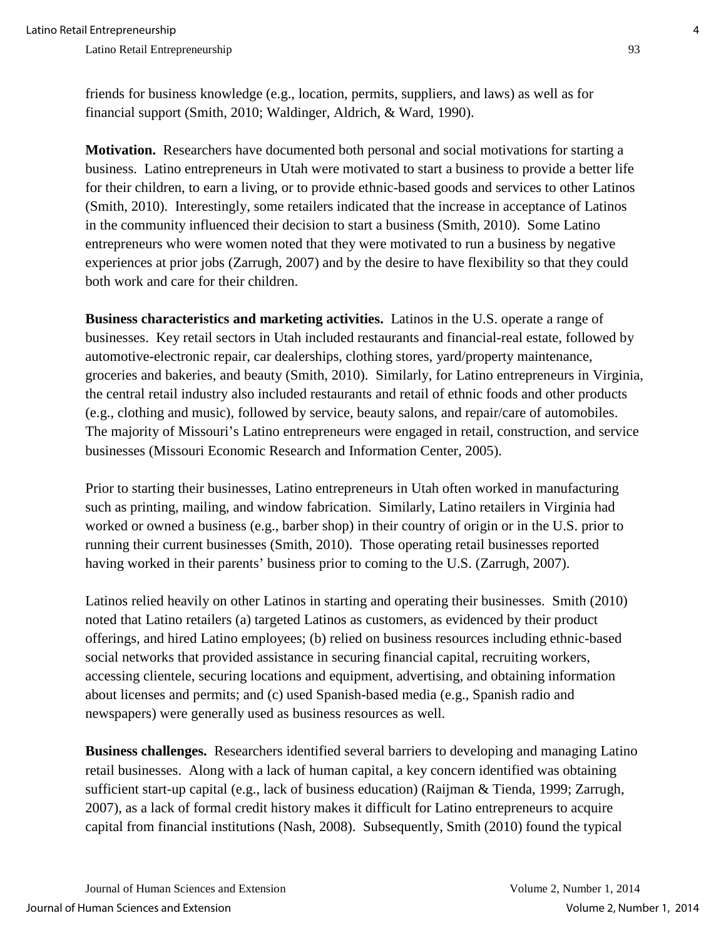friends for business knowledge (e.g., location, permits, suppliers, and laws) as well as for financial support (Smith, 2010; Waldinger, Aldrich, & Ward, 1990).

**Motivation.**Researchers have documented both personal and social motivations for starting a business. Latino entrepreneurs in Utah were motivated to start a business to provide a better life for their children, to earn a living, or to provide ethnic-based goods and services to other Latinos (Smith, 2010). Interestingly, some retailers indicated that the increase in acceptance of Latinos in the community influenced their decision to start a business (Smith, 2010). Some Latino entrepreneurs who were women noted that they were motivated to run a business by negative experiences at prior jobs (Zarrugh, 2007) and by the desire to have flexibility so that they could both work and care for their children.

**Business characteristics and marketing activities.** Latinos in the U.S. operate a range of businesses. Key retail sectors in Utah included restaurants and financial-real estate, followed by automotive-electronic repair, car dealerships, clothing stores, yard/property maintenance, groceries and bakeries, and beauty (Smith, 2010). Similarly, for Latino entrepreneurs in Virginia, the central retail industry also included restaurants and retail of ethnic foods and other products (e.g., clothing and music), followed by service, beauty salons, and repair/care of automobiles. The majority of Missouri's Latino entrepreneurs were engaged in retail, construction, and service businesses (Missouri Economic Research and Information Center, 2005).

Prior to starting their businesses, Latino entrepreneurs in Utah often worked in manufacturing such as printing, mailing, and window fabrication. Similarly, Latino retailers in Virginia had worked or owned a business (e.g., barber shop) in their country of origin or in the U.S. prior to running their current businesses (Smith, 2010). Those operating retail businesses reported having worked in their parents' business prior to coming to the U.S. (Zarrugh, 2007).

Latinos relied heavily on other Latinos in starting and operating their businesses. Smith (2010) noted that Latino retailers (a) targeted Latinos as customers, as evidenced by their product offerings, and hired Latino employees; (b) relied on business resources including ethnic-based social networks that provided assistance in securing financial capital, recruiting workers, accessing clientele, securing locations and equipment, advertising, and obtaining information about licenses and permits; and (c) used Spanish-based media (e.g., Spanish radio and newspapers) were generally used as business resources as well.

**Business challenges.**Researchers identified several barriers to developing and managing Latino retail businesses. Along with a lack of human capital, a key concern identified was obtaining sufficient start-up capital (e.g., lack of business education) (Raijman & Tienda, 1999; Zarrugh, 2007), as a lack of formal credit history makes it difficult for Latino entrepreneurs to acquire capital from financial institutions (Nash, 2008). Subsequently, Smith (2010) found the typical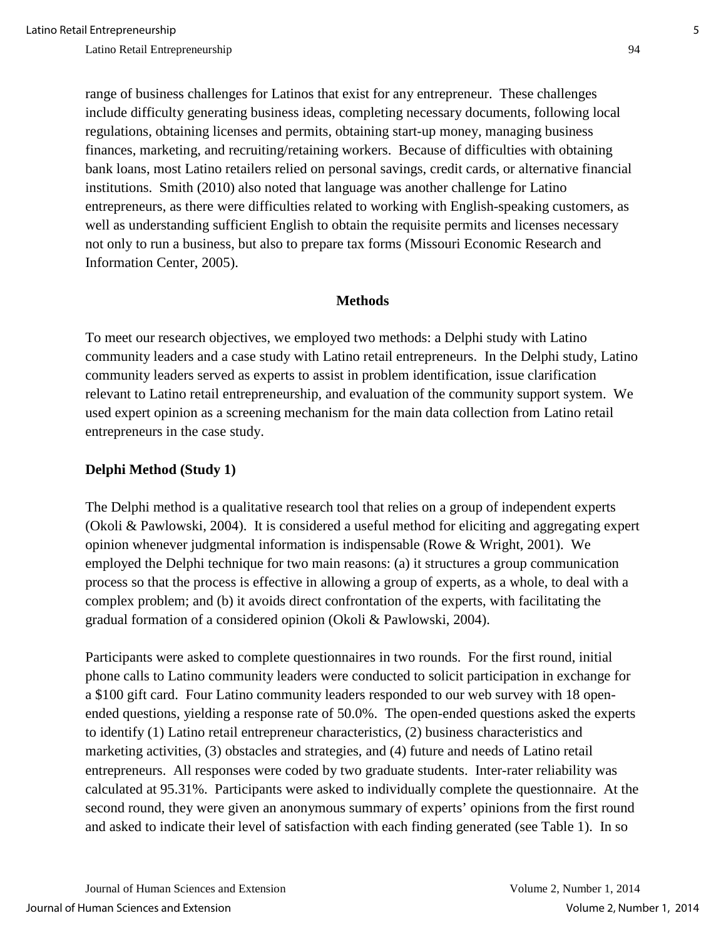range of business challenges for Latinos that exist for any entrepreneur. These challenges include difficulty generating business ideas, completing necessary documents, following local regulations, obtaining licenses and permits, obtaining start-up money, managing business finances, marketing, and recruiting/retaining workers. Because of difficulties with obtaining bank loans, most Latino retailers relied on personal savings, credit cards, or alternative financial institutions. Smith (2010) also noted that language was another challenge for Latino entrepreneurs, as there were difficulties related to working with English-speaking customers, as well as understanding sufficient English to obtain the requisite permits and licenses necessary not only to run a business, but also to prepare tax forms (Missouri Economic Research and Information Center, 2005).

#### **Methods**

To meet our research objectives, we employed two methods: a Delphi study with Latino community leaders and a case study with Latino retail entrepreneurs. In the Delphi study, Latino community leaders served as experts to assist in problem identification, issue clarification relevant to Latino retail entrepreneurship, and evaluation of the community support system. We used expert opinion as a screening mechanism for the main data collection from Latino retail entrepreneurs in the case study.

#### **Delphi Method (Study 1)**

The Delphi method is a qualitative research tool that relies on a group of independent experts (Okoli & Pawlowski, 2004). It is considered a useful method for eliciting and aggregating expert opinion whenever judgmental information is indispensable (Rowe & Wright, 2001). We employed the Delphi technique for two main reasons: (a) it structures a group communication process so that the process is effective in allowing a group of experts, as a whole, to deal with a complex problem; and (b) it avoids direct confrontation of the experts, with facilitating the gradual formation of a considered opinion (Okoli & Pawlowski, 2004).

Participants were asked to complete questionnaires in two rounds. For the first round, initial phone calls to Latino community leaders were conducted to solicit participation in exchange for a \$100 gift card. Four Latino community leaders responded to our web survey with 18 openended questions, yielding a response rate of 50.0%. The open-ended questions asked the experts to identify (1) Latino retail entrepreneur characteristics, (2) business characteristics and marketing activities, (3) obstacles and strategies, and (4) future and needs of Latino retail entrepreneurs. All responses were coded by two graduate students. Inter-rater reliability was calculated at 95.31%. Participants were asked to individually complete the questionnaire. At the second round, they were given an anonymous summary of experts' opinions from the first round and asked to indicate their level of satisfaction with each finding generated (see Table 1). In so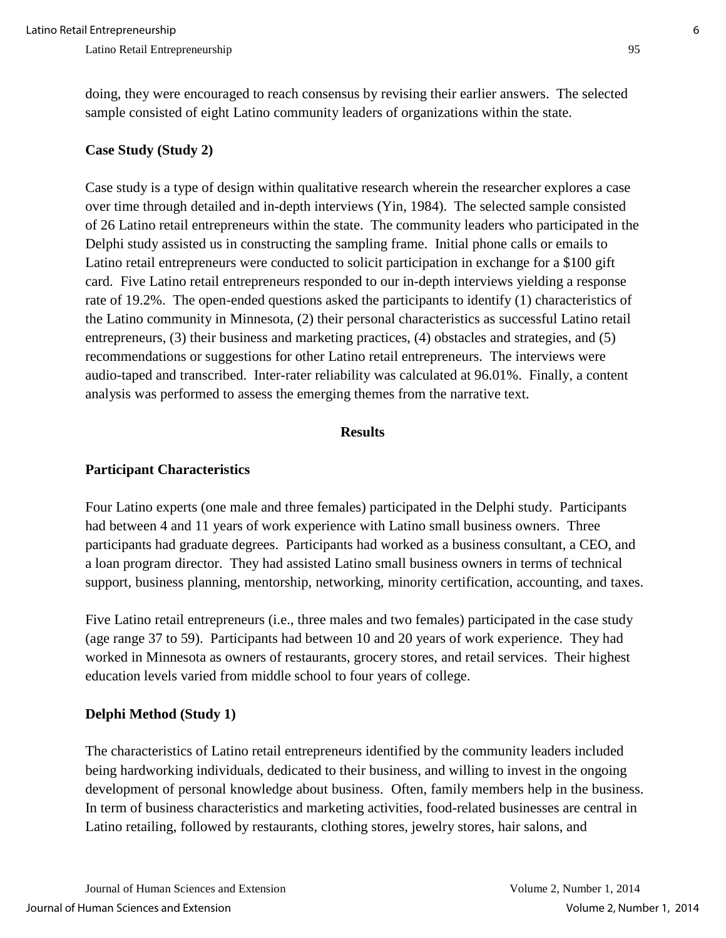doing, they were encouraged to reach consensus by revising their earlier answers. The selected sample consisted of eight Latino community leaders of organizations within the state.

## **Case Study (Study 2)**

Case study is a type of design within qualitative research wherein the researcher explores a case over time through detailed and in-depth interviews (Yin, 1984). The selected sample consisted of 26 Latino retail entrepreneurs within the state. The community leaders who participated in the Delphi study assisted us in constructing the sampling frame. Initial phone calls or emails to Latino retail entrepreneurs were conducted to solicit participation in exchange for a \$100 gift card. Five Latino retail entrepreneurs responded to our in-depth interviews yielding a response rate of 19.2%. The open-ended questions asked the participants to identify (1) characteristics of the Latino community in Minnesota, (2) their personal characteristics as successful Latino retail entrepreneurs, (3) their business and marketing practices, (4) obstacles and strategies, and (5) recommendations or suggestions for other Latino retail entrepreneurs. The interviews were audio-taped and transcribed. Inter-rater reliability was calculated at 96.01%. Finally, a content analysis was performed to assess the emerging themes from the narrative text.

#### **Results**

## **Participant Characteristics**

Four Latino experts (one male and three females) participated in the Delphi study. Participants had between 4 and 11 years of work experience with Latino small business owners. Three participants had graduate degrees. Participants had worked as a business consultant, a CEO, and a loan program director. They had assisted Latino small business owners in terms of technical support, business planning, mentorship, networking, minority certification, accounting, and taxes.

Five Latino retail entrepreneurs (i.e., three males and two females) participated in the case study (age range 37 to 59). Participants had between 10 and 20 years of work experience. They had worked in Minnesota as owners of restaurants, grocery stores, and retail services. Their highest education levels varied from middle school to four years of college.

## **Delphi Method (Study 1)**

The characteristics of Latino retail entrepreneurs identified by the community leaders included being hardworking individuals, dedicated to their business, and willing to invest in the ongoing development of personal knowledge about business. Often, family members help in the business. In term of business characteristics and marketing activities, food-related businesses are central in Latino retailing, followed by restaurants, clothing stores, jewelry stores, hair salons, and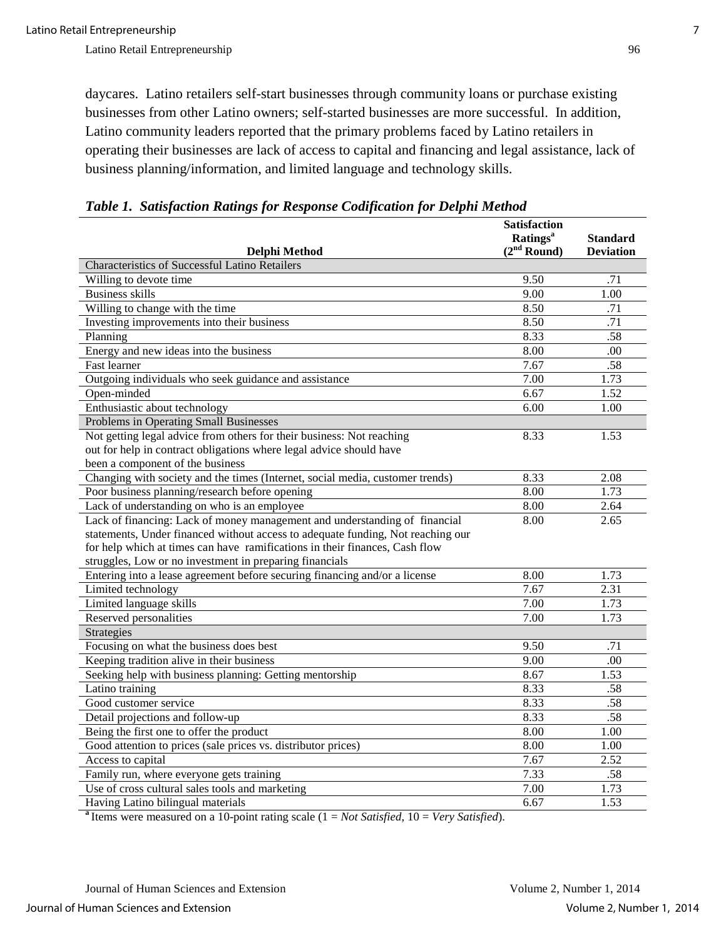daycares. Latino retailers self-start businesses through community loans or purchase existing businesses from other Latino owners; self-started businesses are more successful. In addition, Latino community leaders reported that the primary problems faced by Latino retailers in operating their businesses are lack of access to capital and financing and legal assistance, lack of business planning/information, and limited language and technology skills.

|                                                                                 | <b>Satisfaction</b>         |                  |
|---------------------------------------------------------------------------------|-----------------------------|------------------|
|                                                                                 | <b>Ratings</b> <sup>a</sup> | <b>Standard</b>  |
| Delphi Method<br><b>Characteristics of Successful Latino Retailers</b>          | (2 <sup>nd</sup> Round)     | <b>Deviation</b> |
|                                                                                 |                             |                  |
| Willing to devote time                                                          | 9.50                        | .71              |
| <b>Business skills</b>                                                          | 9.00                        | 1.00             |
| Willing to change with the time                                                 | 8.50                        | .71              |
| Investing improvements into their business                                      | 8.50                        | .71              |
| Planning                                                                        | 8.33                        | .58              |
| Energy and new ideas into the business                                          | 8.00                        | .00              |
| Fast learner                                                                    | 7.67                        | .58              |
| Outgoing individuals who seek guidance and assistance                           | 7.00                        | 1.73             |
| Open-minded                                                                     | 6.67                        | 1.52             |
| Enthusiastic about technology                                                   | 6.00                        | 1.00             |
| Problems in Operating Small Businesses                                          |                             |                  |
| Not getting legal advice from others for their business: Not reaching           | 8.33                        | 1.53             |
| out for help in contract obligations where legal advice should have             |                             |                  |
| been a component of the business                                                |                             |                  |
| Changing with society and the times (Internet, social media, customer trends)   | 8.33                        | 2.08             |
| Poor business planning/research before opening                                  | 8.00                        | 1.73             |
| Lack of understanding on who is an employee                                     | 8.00                        | 2.64             |
| Lack of financing: Lack of money management and understanding of financial      | 8.00                        | 2.65             |
| statements, Under financed without access to adequate funding, Not reaching our |                             |                  |
| for help which at times can have ramifications in their finances, Cash flow     |                             |                  |
| struggles, Low or no investment in preparing financials                         |                             |                  |
| Entering into a lease agreement before securing financing and/or a license      | 8.00                        | 1.73             |
| Limited technology                                                              | 7.67                        | 2.31             |
| Limited language skills                                                         | 7.00                        | 1.73             |
| Reserved personalities                                                          | 7.00                        | 1.73             |
| <b>Strategies</b>                                                               |                             |                  |
| Focusing on what the business does best                                         | 9.50                        | .71              |
| Keeping tradition alive in their business                                       | 9.00                        | .00              |
| Seeking help with business planning: Getting mentorship                         | 8.67                        | 1.53             |
| Latino training                                                                 | 8.33                        | .58              |
| Good customer service                                                           | 8.33                        | .58              |
| Detail projections and follow-up                                                | 8.33                        | .58              |
| Being the first one to offer the product                                        | 8.00                        | 1.00             |
| Good attention to prices (sale prices vs. distributor prices)                   | 8.00                        | 1.00             |
| Access to capital                                                               | 7.67                        | 2.52             |
| Family run, where everyone gets training                                        | 7.33                        | .58              |
| Use of cross cultural sales tools and marketing                                 | 7.00                        | 1.73             |
| Having Latino bilingual materials                                               | 6.67                        | 1.53             |

*Table 1. Satisfaction Ratings for Response Codification for Delphi Method*

**<sup>a</sup>**Items were measured on a 10-point rating scale (1 = *Not Satisfied*, 10 = *Very Satisfied*).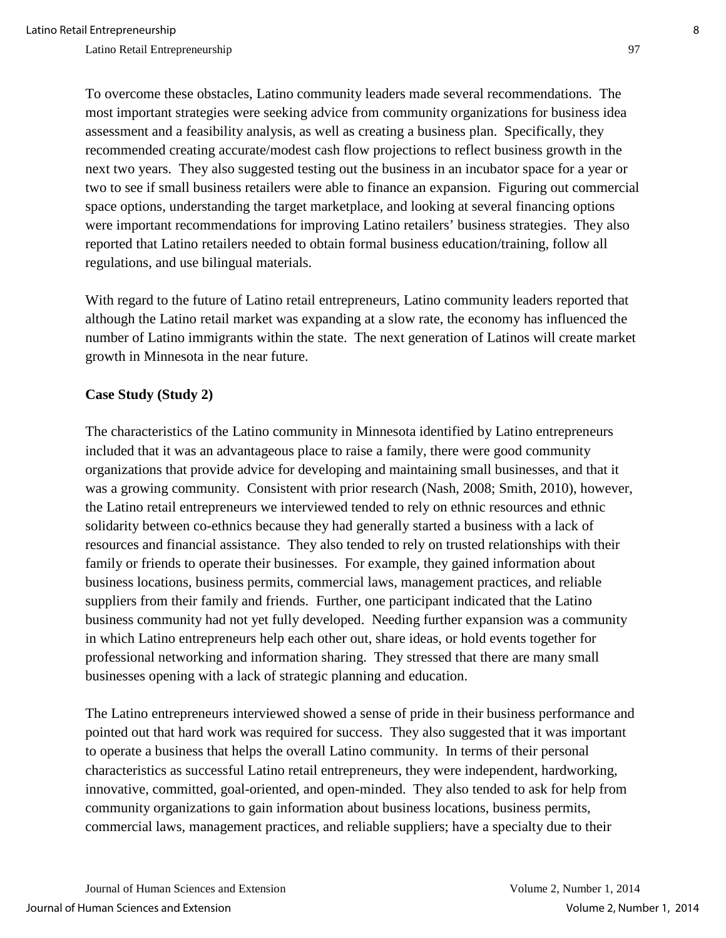To overcome these obstacles, Latino community leaders made several recommendations. The most important strategies were seeking advice from community organizations for business idea assessment and a feasibility analysis, as well as creating a business plan. Specifically, they recommended creating accurate/modest cash flow projections to reflect business growth in the next two years. They also suggested testing out the business in an incubator space for a year or two to see if small business retailers were able to finance an expansion. Figuring out commercial space options, understanding the target marketplace, and looking at several financing options were important recommendations for improving Latino retailers' business strategies. They also reported that Latino retailers needed to obtain formal business education/training, follow all regulations, and use bilingual materials.

With regard to the future of Latino retail entrepreneurs, Latino community leaders reported that although the Latino retail market was expanding at a slow rate, the economy has influenced the number of Latino immigrants within the state. The next generation of Latinos will create market growth in Minnesota in the near future.

## **Case Study (Study 2)**

The characteristics of the Latino community in Minnesota identified by Latino entrepreneurs included that it was an advantageous place to raise a family, there were good community organizations that provide advice for developing and maintaining small businesses, and that it was a growing community. Consistent with prior research (Nash, 2008; Smith, 2010), however, the Latino retail entrepreneurs we interviewed tended to rely on ethnic resources and ethnic solidarity between co-ethnics because they had generally started a business with a lack of resources and financial assistance. They also tended to rely on trusted relationships with their family or friends to operate their businesses. For example, they gained information about business locations, business permits, commercial laws, management practices, and reliable suppliers from their family and friends. Further, one participant indicated that the Latino business community had not yet fully developed. Needing further expansion was a community in which Latino entrepreneurs help each other out, share ideas, or hold events together for professional networking and information sharing. They stressed that there are many small businesses opening with a lack of strategic planning and education.

The Latino entrepreneurs interviewed showed a sense of pride in their business performance and pointed out that hard work was required for success. They also suggested that it was important to operate a business that helps the overall Latino community. In terms of their personal characteristics as successful Latino retail entrepreneurs, they were independent, hardworking, innovative, committed, goal-oriented, and open-minded. They also tended to ask for help from community organizations to gain information about business locations, business permits, commercial laws, management practices, and reliable suppliers; have a specialty due to their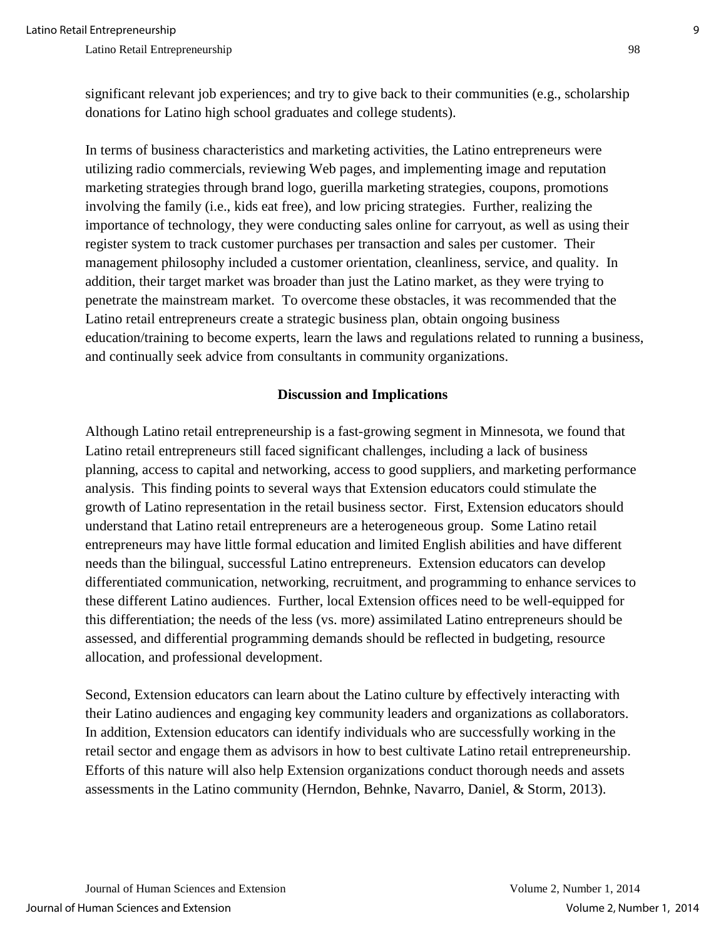significant relevant job experiences; and try to give back to their communities (e.g., scholarship donations for Latino high school graduates and college students).

In terms of business characteristics and marketing activities, the Latino entrepreneurs were utilizing radio commercials, reviewing Web pages, and implementing image and reputation marketing strategies through brand logo, guerilla marketing strategies, coupons, promotions involving the family (i.e., kids eat free), and low pricing strategies. Further, realizing the importance of technology, they were conducting sales online for carryout, as well as using their register system to track customer purchases per transaction and sales per customer. Their management philosophy included a customer orientation, cleanliness, service, and quality. In addition, their target market was broader than just the Latino market, as they were trying to penetrate the mainstream market. To overcome these obstacles, it was recommended that the Latino retail entrepreneurs create a strategic business plan, obtain ongoing business education/training to become experts, learn the laws and regulations related to running a business, and continually seek advice from consultants in community organizations.

#### **Discussion and Implications**

Although Latino retail entrepreneurship is a fast-growing segment in Minnesota, we found that Latino retail entrepreneurs still faced significant challenges, including a lack of business planning, access to capital and networking, access to good suppliers, and marketing performance analysis. This finding points to several ways that Extension educators could stimulate the growth of Latino representation in the retail business sector. First, Extension educators should understand that Latino retail entrepreneurs are a heterogeneous group. Some Latino retail entrepreneurs may have little formal education and limited English abilities and have different needs than the bilingual, successful Latino entrepreneurs. Extension educators can develop differentiated communication, networking, recruitment, and programming to enhance services to these different Latino audiences. Further, local Extension offices need to be well-equipped for this differentiation; the needs of the less (vs. more) assimilated Latino entrepreneurs should be assessed, and differential programming demands should be reflected in budgeting, resource allocation, and professional development.

Second, Extension educators can learn about the Latino culture by effectively interacting with their Latino audiences and engaging key community leaders and organizations as collaborators. In addition, Extension educators can identify individuals who are successfully working in the retail sector and engage them as advisors in how to best cultivate Latino retail entrepreneurship. Efforts of this nature will also help Extension organizations conduct thorough needs and assets assessments in the Latino community (Herndon, Behnke, Navarro, Daniel, & Storm, 2013).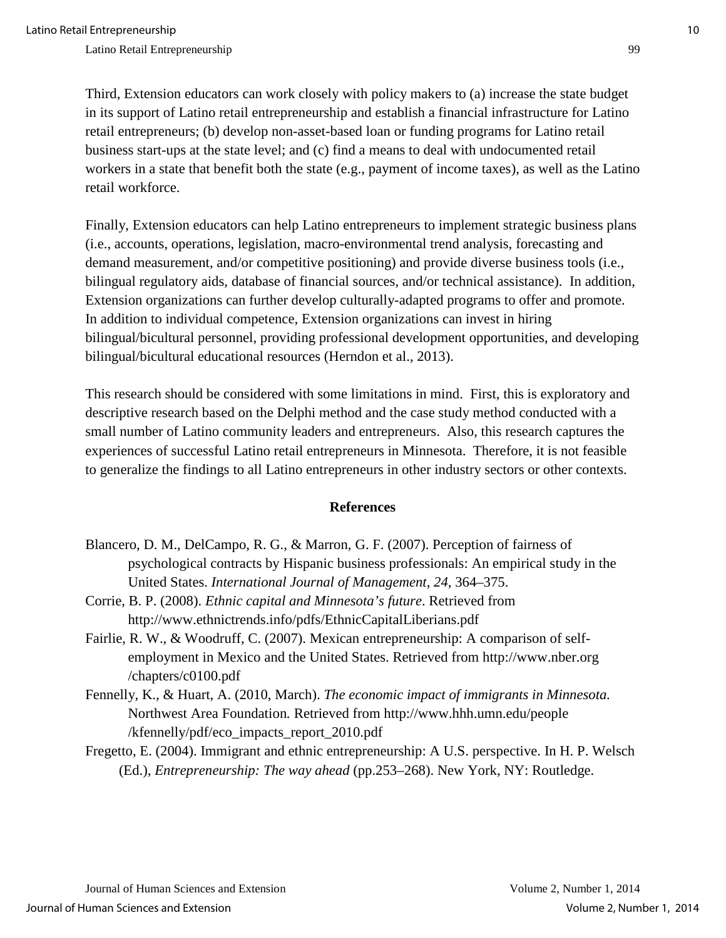Third, Extension educators can work closely with policy makers to (a) increase the state budget in its support of Latino retail entrepreneurship and establish a financial infrastructure for Latino retail entrepreneurs; (b) develop non-asset-based loan or funding programs for Latino retail business start-ups at the state level; and (c) find a means to deal with undocumented retail workers in a state that benefit both the state (e.g., payment of income taxes), as well as the Latino retail workforce.

Finally, Extension educators can help Latino entrepreneurs to implement strategic business plans (i.e., accounts, operations, legislation, macro-environmental trend analysis, forecasting and demand measurement, and/or competitive positioning) and provide diverse business tools (i.e., bilingual regulatory aids, database of financial sources, and/or technical assistance). In addition, Extension organizations can further develop culturally-adapted programs to offer and promote. In addition to individual competence, Extension organizations can invest in hiring bilingual/bicultural personnel, providing professional development opportunities, and developing bilingual/bicultural educational resources (Herndon et al., 2013).

This research should be considered with some limitations in mind. First, this is exploratory and descriptive research based on the Delphi method and the case study method conducted with a small number of Latino community leaders and entrepreneurs. Also, this research captures the experiences of successful Latino retail entrepreneurs in Minnesota. Therefore, it is not feasible to generalize the findings to all Latino entrepreneurs in other industry sectors or other contexts.

#### **References**

- Blancero, D. M., DelCampo, R. G., & Marron, G. F. (2007). Perception of fairness of psychological contracts by Hispanic business professionals: An empirical study in the United States. *International Journal of Management*, *24*, 364–375.
- Corrie, B. P. (2008). *Ethnic capital and Minnesota's future*. Retrieved from http://www.ethnictrends.info/pdfs/EthnicCapitalLiberians.pdf
- Fairlie, R. W., & Woodruff, C. (2007). Mexican entrepreneurship: A comparison of selfemployment in Mexico and the United States. Retrieved from http://www.nber.org /chapters/c0100.pdf
- Fennelly, K., & Huart, A. (2010, March). *The economic impact of immigrants in Minnesota.*  Northwest Area Foundation*.* Retrieved from http://www.hhh.umn.edu/people /kfennelly/pdf/eco\_impacts\_report\_2010.pdf
- Fregetto, E. (2004). Immigrant and ethnic entrepreneurship: A U.S. perspective. In H. P. Welsch (Ed.), *Entrepreneurship: The way ahead* (pp.253–268). New York, NY: Routledge.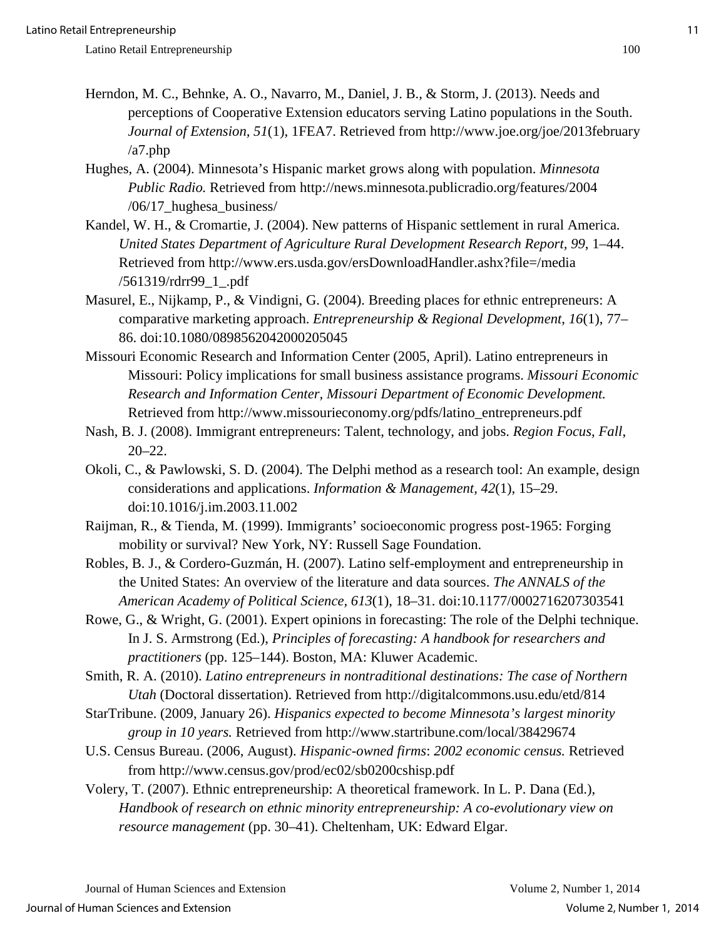- Herndon, M. C., Behnke, A. O., Navarro, M., Daniel, J. B., & Storm, J. (2013). Needs and perceptions of Cooperative Extension educators serving Latino populations in the South. *Journal of Extension, 51*(1), 1FEA7. Retrieved from http://www.joe.org/joe/2013february /a7.php
- Hughes, A. (2004). Minnesota's Hispanic market grows along with population. *Minnesota Public Radio.* Retrieved from http://news.minnesota.publicradio.org/features/2004 /06/17\_hughesa\_business/
- Kandel, W. H., & Cromartie, J. (2004). New patterns of Hispanic settlement in rural America. *United States Department of Agriculture Rural Development Research Report, 99*, 1–44. Retrieved from http://www.ers.usda.gov/ersDownloadHandler.ashx?file=/media /561319/rdrr99\_1\_.pdf
- Masurel, E., Nijkamp, P., & Vindigni, G. (2004). Breeding places for ethnic entrepreneurs: A comparative marketing approach. *Entrepreneurship & Regional Development*, *16*(1), 77– 86. doi:10.1080/0898562042000205045
- Missouri Economic Research and Information Center (2005, April). Latino entrepreneurs in Missouri: Policy implications for small business assistance programs. *Missouri Economic Research and Information Center, Missouri Department of Economic Development.*  Retrieved from http://www.missourieconomy.org/pdfs/latino\_entrepreneurs.pdf
- Nash, B. J. (2008). Immigrant entrepreneurs: Talent, technology, and jobs. *Region Focus*, *Fall*, 20–22.
- Okoli, C., & Pawlowski, S. D. (2004). The Delphi method as a research tool: An example, design considerations and applications. *Information & Management, 42*(1), 15–29. doi:10.1016/j.im.2003.11.002
- Raijman, R., & Tienda, M. (1999). Immigrants' socioeconomic progress post-1965: Forging mobility or survival? New York, NY: Russell Sage Foundation.
- Robles, B. J., & Cordero-Guzmán, H. (2007). Latino self-employment and entrepreneurship in the United States: An overview of the literature and data sources. *The ANNALS of the American Academy of Political Science, 613*(1), 18–31. doi:10.1177/0002716207303541
- Rowe, G., & Wright, G. (2001). Expert opinions in forecasting: The role of the Delphi technique. In J. S. Armstrong (Ed.), *Principles of forecasting: A handbook for researchers and practitioners* (pp. 125–144). Boston, MA: Kluwer Academic.

Smith, R. A. (2010). *Latino entrepreneurs in nontraditional destinations: The case of Northern Utah* (Doctoral dissertation). Retrieved from http://digitalcommons.usu.edu/etd/814

- StarTribune. (2009, January 26). *Hispanics expected to become Minnesota's largest minority group in 10 years.* Retrieved from http://www.startribune.com/local/38429674
- U.S. Census Bureau. (2006, August). *Hispanic-owned firms*: *2002 economic census.* Retrieved from http://www.census.gov/prod/ec02/sb0200cshisp.pdf
- Volery, T. (2007). Ethnic entrepreneurship: A theoretical framework. In L. P. Dana (Ed.), *Handbook of research on ethnic minority entrepreneurship: A co-evolutionary view on resource management* (pp. 30–41). Cheltenham, UK: Edward Elgar.